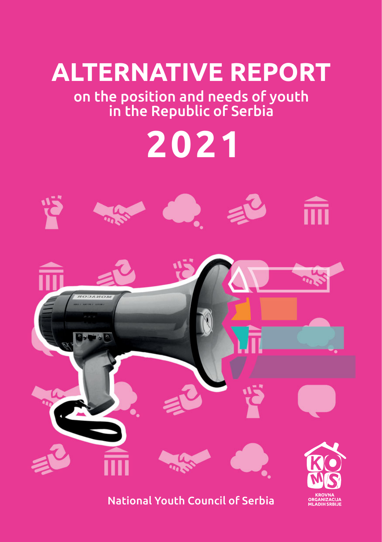

on the position and needs of youth in the Republic of Serbia





National Youth Council of Serbia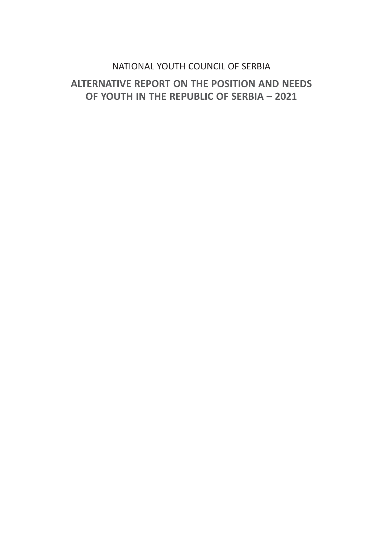### [NATIONAL YOUTH COUNCIL OF SERBIA](https://koms.rs/)

### **ALTERNATIVE REPORT ON THE POSITION AND NEEDS OF YOUTH IN THE REPUBLIC OF SERBIA – 2021**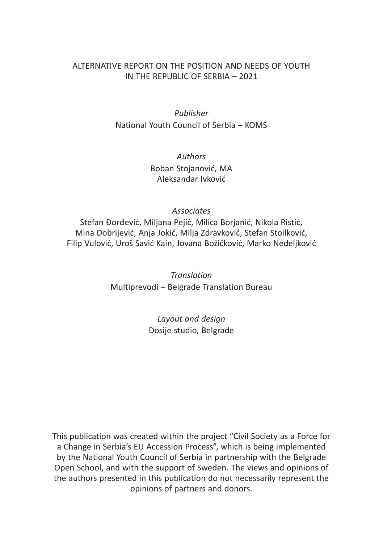#### ALTERNATIVE REPORT ON THE POSITION AND NEEDS OF YOUTH IN THE REPUBLIC OF SERBIA – 2021

*Publisher* [National Youth Council of Serbia – KOMS](https://koms.rs/)

> *Authors* Boban Stojanović, MA Aleksandar Ivković

> > *Associates*

Stefan Đorđević, Miljana Pejić, Milica Borjanić, Nikola Ristić, Mina Dobrijević, Anja Jokić, Milja Zdravković, Stefan Stoilković, Filip Vulović, Uroš Savić Kain, Jovana Božičković, Marko Nedeljković

> *Translation* Multiprevodi – Belgrade Translation Bureau

> > *Layout and design* [Dosije studio, Belgrade](www.dosije.rs)

This publication was created within the project "Civil Society as a Force for a Change in Serbia's EU Accession Process", which is being implemented by the National Youth Council of Serbia in partnership with the Belgrade Open School, and with the support of Sweden. The views and opinions of the authors presented in this publication do not necessarily represent the opinions of partners and donors.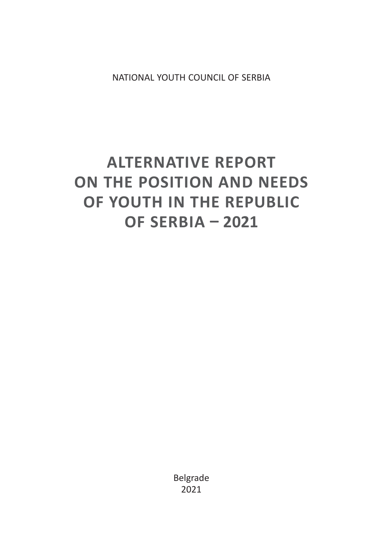[NATIONAL YOUTH COUNCIL OF SERBIA](https://koms.rs/)

# **ALTERNATIVE REPORT ON THE POSITION AND NEEDS OF YOUTH IN THE REPUBLIC OF SERBIA ͵ 2021**

Belgrade 2021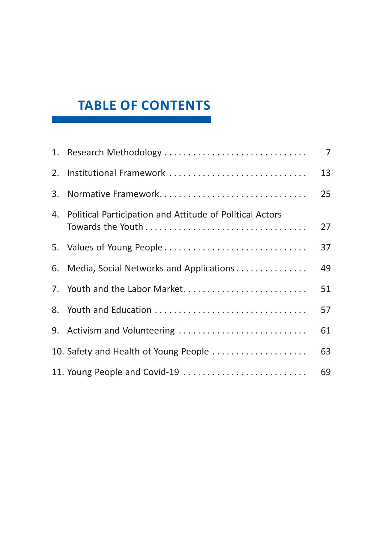## **TABLE OF CONTENTS**

| 1. Research Methodology                                     | $\overline{7}$ |
|-------------------------------------------------------------|----------------|
| 2. Institutional Framework                                  | 13             |
| 3. Normative Framework                                      | 25             |
| 4. Political Participation and Attitude of Political Actors | 27             |
| 5. Values of Young People                                   | 37             |
| 6. Media, Social Networks and Applications                  | 49             |
| 7. Youth and the Labor Market                               | 51             |
| 8. Youth and Education                                      | 57             |
| 9. Activism and Volunteering                                | 61             |
| 10. Safety and Health of Young People                       | 63             |
| 11. Young People and Covid-19                               | 69             |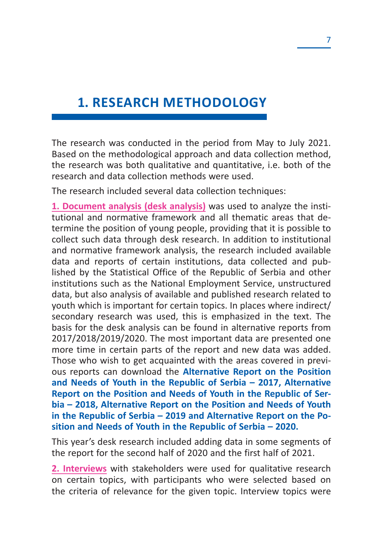## **1. RESEARCH METHODOLOGY**

The research was conducted in the period from May to July 2021. Based on the methodological approach and data collection method, the research was both qualitative and quantitative, i.e. both of the research and data collection methods were used.

The research included several data collection techniques:

**1. Document analysis (desk analysis)** was used to analyze the institutional and normative framework and all thematic areas that determine the position of young people, providing that it is possible to collect such data through desk research. In addition to institutional and normative framework analysis, the research included available data and reports of certain institutions, data collected and published by the Statistical Office of the Republic of Serbia and other institutions such as the National Employment Service, unstructured data, but also analysis of available and published research related to youth which is important for certain topics. In places where indirect/ secondary research was used, this is emphasized in the text. The basis for the desk analysis can be found in alternative reports from 2017/2018/2019/2020. The most important data are presented one more time in certain parts of the report and new data was added. Those who wish to get acquainted with the areas covered in previous reports can download the **Alternative Report on the Position and Needs of Youth in the Republic of Serbia – 2017, Alternative Report on the Position and Needs of Youth in the Republic of Serbia – 2018, Alternative Report on the Position and Needs of Youth in the Republic of Serbia – 2019 and Alternative Report on the Position and Needs of Youth in the Republic of Serbia – 2020.**

This year's desk research included adding data in some segments of the report for the second half of 2020 and the first half of 2021.

**2. Interviews** with stakeholders were used for qualitative research on certain topics, with participants who were selected based on the criteria of relevance for the given topic. Interview topics were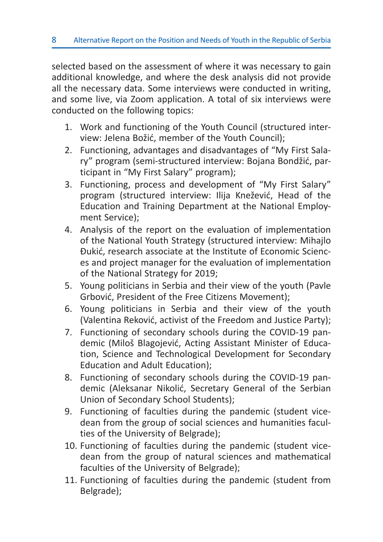selected based on the assessment of where it was necessary to gain additional knowledge, and where the desk analysis did not provide all the necessary data. Some interviews were conducted in writing, and some live, via Zoom application. A total of six interviews were conducted on the following topics:

- 1. Work and functioning of the Youth Council (structured interview: Jelena Božić, member of the Youth Council);
- 2. Functioning, advantages and disadvantages of "My First Salary" program (semi-structured interview: Bojana Bondžić, participant in "My First Salary" program);
- 3. Functioning, process and development of "My First Salary" program (structured interview: Ilija Knežević, Head of the Education and Training Department at the National Employment Service);
- 4. Analysis of the report on the evaluation of implementation of the National Youth Strategy (structured interview: Mihajlo Đukić, research associate at the Institute of Economic Sciences and project manager for the evaluation of implementation of the National Strategy for 2019;
- 5. Young politicians in Serbia and their view of the youth (Pavle Grbović, President of the Free Citizens Movement);
- 6. Young politicians in Serbia and their view of the youth (Valentina Reković, activist of the Freedom and Justice Party);
- 7. Functioning of secondary schools during the COVID-19 pandemic (Miloš Blagojević, Acting Assistant Minister of Education, Science and Technological Development for Secondary Education and Adult Education);
- 8. Functioning of secondary schools during the COVID-19 pandemic (Aleksanar Nikolić, Secretary General of the Serbian Union of Secondary School Students);
- 9. Functioning of faculties during the pandemic (student vicedean from the group of social sciences and humanities faculties of the University of Belgrade);
- 10. Functioning of faculties during the pandemic (student vicedean from the group of natural sciences and mathematical faculties of the University of Belgrade);
- 11. Functioning of faculties during the pandemic (student from Belgrade);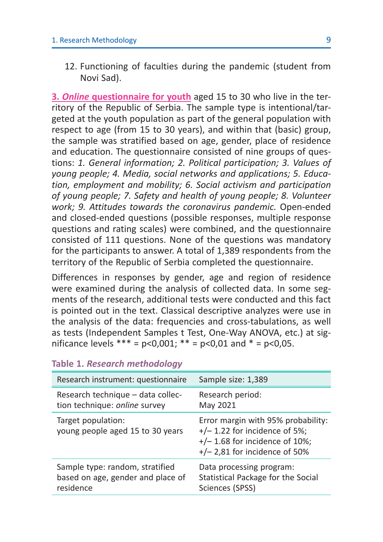12. Functioning of faculties during the pandemic (student from Novi Sad).

**3.** *Online* **questionnaire for youth** aged 15 to 30 who live in the territory of the Republic of Serbia. The sample type is intentional/targeted at the youth population as part of the general population with respect to age (from 15 to 30 years), and within that (basic) group, the sample was stratified based on age, gender, place of residence and education. The questionnaire consisted of nine groups of questions: 1. General information; 2. Political participation; 3. Values of *young people; 4. Media, social networks and applications; 5. Education, employment and mobility; 6. Social activism and participation of young people; 7. Safety and health of young people; 8. Volunteer work; 9. Attitudes towards the coronavirus pandemic.* Open-ended and closed-ended questions (possible responses, multiple response questions and rating scales) were combined, and the questionnaire consisted of 111 questions. None of the questions was mandatory for the participants to answer. A total of 1,389 respondents from the territory of the Republic of Serbia completed the questionnaire.

Differences in responses by gender, age and region of residence were examined during the analysis of collected data. In some segments of the research, additional tests were conducted and this fact is pointed out in the text. Classical descriptive analyzes were use in the analysis of the data: frequencies and cross-tabulations, as well as tests (Independent Samples t Test, One-Way ANOVA, etc.) at significance levels \*\*\* =  $p < 0.001$ ; \*\* =  $p < 0.01$  and \* =  $p < 0.05$ .

| Research instrument: questionnaire                     | Sample size: 1,389                                                                                                                           |
|--------------------------------------------------------|----------------------------------------------------------------------------------------------------------------------------------------------|
| Research technique - data collec-                      | Research period:                                                                                                                             |
| tion technique: online survey                          | May 2021                                                                                                                                     |
| Target population:<br>young people aged 15 to 30 years | Error margin with 95% probability:<br>$+/- 1.22$ for incidence of 5%;<br>$+/- 1.68$ for incidence of 10%;<br>$+/- 2,81$ for incidence of 50% |
| Sample type: random, stratified                        | Data processing program:                                                                                                                     |
| based on age, gender and place of                      | Statistical Package for the Social                                                                                                           |
| residence                                              | Sciences (SPSS)                                                                                                                              |

#### **Table 1.** *Research methodology*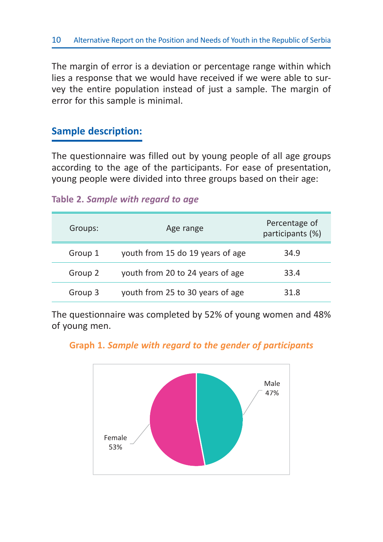The margin of error is a deviation or percentage range within which lies a response that we would have received if we were able to survey the entire population instead of just a sample. The margin of error for this sample is minimal.

### **Sample description:**

The questionnaire was filled out by young people of all age groups according to the age of the participants. For ease of presentation, young people were divided into three groups based on their age:

#### **Table 2.** *Sample with regard to age*

| Groups: | Age range                        | Percentage of<br>participants (%) |
|---------|----------------------------------|-----------------------------------|
| Group 1 | youth from 15 do 19 years of age | 34.9                              |
| Group 2 | youth from 20 to 24 years of age | 33.4                              |
| Group 3 | youth from 25 to 30 years of age | 31 R                              |

The questionnaire was completed by 52% of young women and 48% of young men.

#### **Graph 1.** *Sample with regard to the gender of participants*

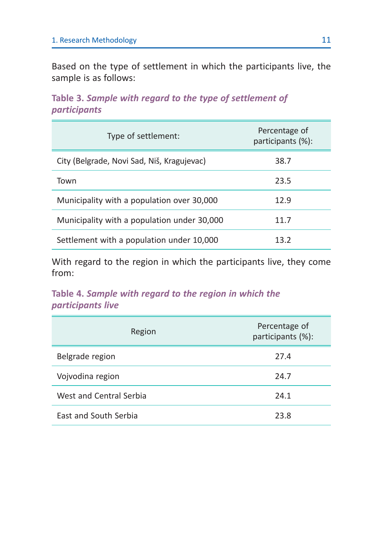Based on the type of settlement in which the participants live, the sample is as follows:

**Table 3.** *Sample with regard to the type of settlement of participants*

| Type of settlement:                         | Percentage of<br>participants (%): |
|---------------------------------------------|------------------------------------|
| City (Belgrade, Novi Sad, Niš, Kragujevac)  | 38.7                               |
| Town                                        | 23.5                               |
| Municipality with a population over 30,000  | 12.9                               |
| Municipality with a population under 30,000 | 11.7                               |
| Settlement with a population under 10,000   | 13.2                               |

With regard to the region in which the participants live, they come from:

**Table 4.** *Sample with regard to the region in which the participants live*

| Region                  | Percentage of<br>participants (%): |
|-------------------------|------------------------------------|
| Belgrade region         | 27.4                               |
| Vojvodina region        | 24.7                               |
| West and Central Serbia | 24.1                               |
| East and South Serbia   | 23.8                               |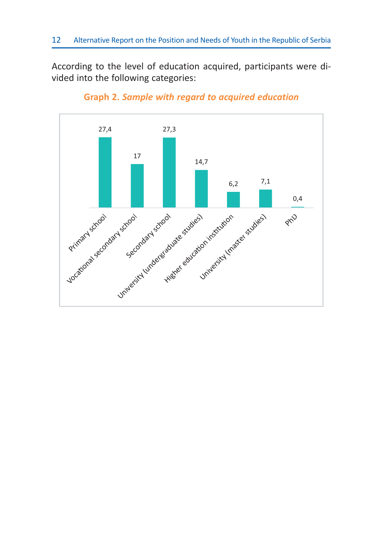According to the level of education acquired, participants were divided into the following categories:



**Graph 2.** *Sample with regard to acquired education*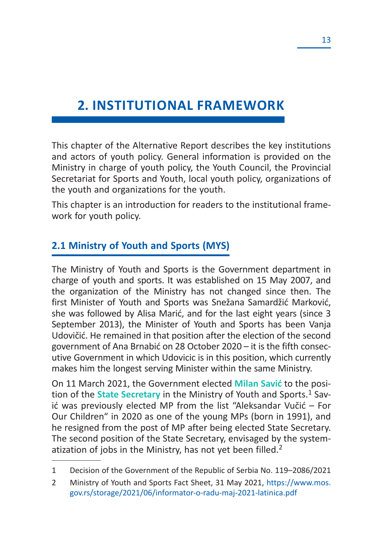## **2. INSTITUTIONAL FRAMEWORK**

This chapter of the Alternative Report describes the key institutions and actors of youth policy. General information is provided on the Ministry in charge of youth policy, the Youth Council, the Provincial Secretariat for Sports and Youth, local youth policy, organizations of the youth and organizations for the youth.

This chapter is an introduction for readers to the institutional framework for youth policy.

### **2.1 Ministry of Youth and Sports (MYS)**

The Ministry of Youth and Sports is the Government department in charge of youth and sports. It was established on 15 May 2007, and the organization of the Ministry has not changed since then. The first Minister of Youth and Sports was Snežana Samardžić Marković, she was followed by Alisa Marić, and for the last eight years (since 3 September 2013), the Minister of Youth and Sports has been Vanja Udovičić. He remained in that position after the election of the second government of Ana Brnabić on 28 October 2020 – it is the fifth consecutive Government in which Udovicic is in this position, which currently makes him the longest serving Minister within the same Ministry.

On 11 March 2021, the Government elected **Milan Savić** to the position of the **State Secretary** in the Ministry of Youth and Sports.<sup>1</sup> Savić was previously elected MP from the list "Aleksandar Vučić – For Our Children" in 2020 as one of the young MPs (born in 1991), and he resigned from the post of MP after being elected State Secretary. The second position of the State Secretary, envisaged by the systematization of jobs in the Ministry, has not yet been filled.<sup>2</sup>

<sup>1</sup> Decision of the Government of the Republic of Serbia No. 119–2086/2021

<sup>2</sup> Ministry of Youth and Sports Fact Sheet, 31 May 2021, https://www.mos. gov.rs/storage/2021/06/informator-o-radu-maj-2021-latinica.pdf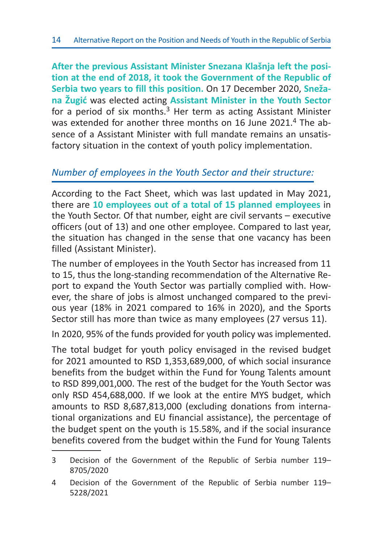**After the previous Assistant Minister Snezana Klašnja left the position at the end of 2018, it took the Government of the Republic of Serbia two years to fill this position.** On 17 December 2020, **Snežana Žugić** was elected acting **Assistant Minister in the Youth Sector**  for a period of six months. $3$  Her term as acting Assistant Minister was extended for another three months on 16 June 2021.4 The absence of a Assistant Minister with full mandate remains an unsatisfactory situation in the context of youth policy implementation.

### *Number of employees in the Youth Sector and their structure:*

According to the Fact Sheet, which was last updated in May 2021, there are **10 employees out of a total of 15 planned employees** in the Youth Sector. Of that number, eight are civil servants – executive officers (out of 13) and one other employee. Compared to last year, the situation has changed in the sense that one vacancy has been filled (Assistant Minister).

The number of employees in the Youth Sector has increased from 11 to 15, thus the long-standing recommendation of the Alternative Report to expand the Youth Sector was partially complied with. However, the share of jobs is almost unchanged compared to the previous year (18% in 2021 compared to 16% in 2020), and the Sports Sector still has more than twice as many employees (27 versus 11).

In 2020, 95% of the funds provided for youth policy was implemented.

The total budget for youth policy envisaged in the revised budget for 2021 amounted to RSD 1,353,689,000, of which social insurance benefits from the budget within the Fund for Young Talents amount to RSD 899,001,000. The rest of the budget for the Youth Sector was only RSD 454,688,000. If we look at the entire MYS budget, which amounts to RSD 8,687,813,000 (excluding donations from international organizations and EU financial assistance), the percentage of the budget spent on the youth is 15.58%, and if the social insurance benefits covered from the budget within the Fund for Young Talents

<sup>3</sup> Decision of the Government of the Republic of Serbia number 119– 8705/2020

<sup>4</sup> Decision of the Government of the Republic of Serbia number 119– 5228/2021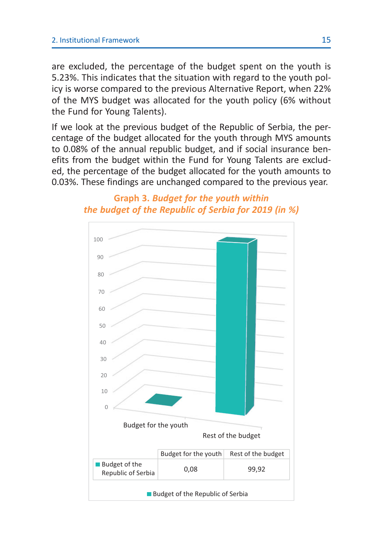are excluded, the percentage of the budget spent on the youth is 5.23%. This indicates that the situation with regard to the youth policy is worse compared to the previous Alternative Report, when 22% of the MYS budget was allocated for the youth policy (6% without the Fund for Young Talents).

If we look at the previous budget of the Republic of Serbia, the percentage of the budget allocated for the youth through MYS amounts to 0.08% of the annual republic budget, and if social insurance benefits from the budget within the Fund for Young Talents are excluded, the percentage of the budget allocated for the youth amounts to 0.03%. These findings are unchanged compared to the previous year.

### **Graph 3.** *Budget for the youth within the budget of the Republic of Serbia for 2019 (in %)*

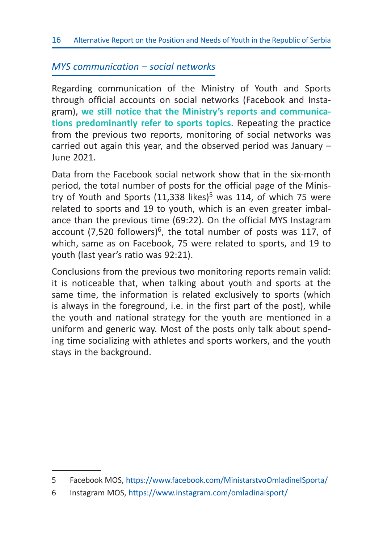### *MYS communication – social networks*

Regarding communication of the Ministry of Youth and Sports through official accounts on social networks (Facebook and Instagram), **we still notice that the Ministry's reports and communications predominantly refer to sports topics**. Repeating the practice from the previous two reports, monitoring of social networks was carried out again this year, and the observed period was January – June 2021.

Data from the Facebook social network show that in the six-month period, the total number of posts for the official page of the Ministry of Youth and Sports  $(11,338$  likes)<sup>5</sup> was 114, of which 75 were related to sports and 19 to youth, which is an even greater imbalance than the previous time (69:22). On the official MYS Instagram account (7,520 followers)<sup>6</sup>, the total number of posts was 117, of which, same as on Facebook, 75 were related to sports, and 19 to youth (last year's ratio was 92:21).

Conclusions from the previous two monitoring reports remain valid: it is noticeable that, when talking about youth and sports at the same time, the information is related exclusively to sports (which is always in the foreground, i.e. in the first part of the post), while the youth and national strategy for the youth are mentioned in a uniform and generic way. Most of the posts only talk about spending time socializing with athletes and sports workers, and the youth stays in the background.

<sup>5</sup> Facebook MOS, https://www.facebook.com/MinistarstvoOmladineISporta/

<sup>6</sup> Instagram MOS, https://www.instagram.com/omladinaisport/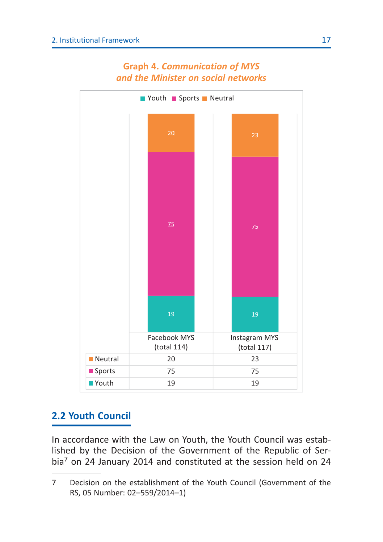

#### **Graph 4.** *Communication of MYS and the Minister on social networks*

### **2.2 Youth Council**

In accordance with the Law on Youth, the Youth Council was established by the Decision of the Government of the Republic of Serbia7 on 24 January 2014 and constituted at the session held on 24

<sup>7</sup> Decision on the establishment of the Youth Council (Government of the RS, 05 Number: 02–559/2014–1)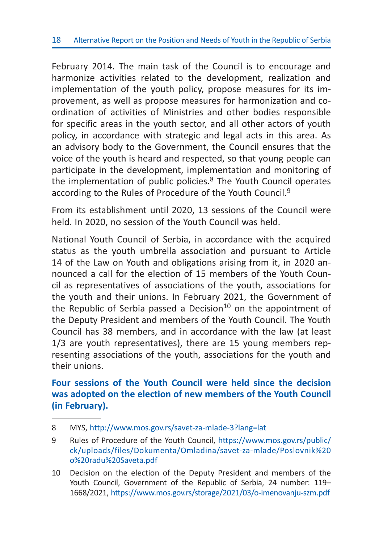February 2014. The main task of the Council is to encourage and harmonize activities related to the development, realization and implementation of the youth policy, propose measures for its improvement, as well as propose measures for harmonization and coordination of activities of Ministries and other bodies responsible for specific areas in the youth sector, and all other actors of youth policy, in accordance with strategic and legal acts in this area. As an advisory body to the Government, the Council ensures that the voice of the youth is heard and respected, so that young people can participate in the development, implementation and monitoring of the implementation of public policies. $8$  The Youth Council operates according to the Rules of Procedure of the Youth Council.<sup>9</sup>

From its establishment until 2020, 13 sessions of the Council were held. In 2020, no session of the Youth Council was held.

National Youth Council of Serbia, in accordance with the acquired status as the youth umbrella association and pursuant to Article 14 of the Law on Youth and obligations arising from it, in 2020 announced a call for the election of 15 members of the Youth Council as representatives of associations of the youth, associations for the youth and their unions. In February 2021, the Government of the Republic of Serbia passed a Decision<sup>10</sup> on the appointment of the Deputy President and members of the Youth Council. The Youth Council has 38 members, and in accordance with the law (at least 1/3 are youth representatives), there are 15 young members representing associations of the youth, associations for the youth and their unions.

### **Four sessions of the Youth Council were held since the decision was adopted on the election of new members of the Youth Council (in February).**

<sup>8</sup> MYS, http://www.mos.gov.rs/savet-za-mlade-3?lang=lat

<sup>9</sup> Rules of Procedure of the Youth Council, https://www.mos.gov.rs/public/ ck/uploads/files/Dokumenta/Omladina/savet-za-mlade/Poslovnik%20 o%20radu%20Saveta.pdf

<sup>10</sup> Decision on the election of the Deputy President and members of the Youth Council, Government of the Republic of Serbia, 24 number: 119– 1668/2021, https://www.mos.gov.rs/storage/2021/03/o-imenovanju-szm.pdf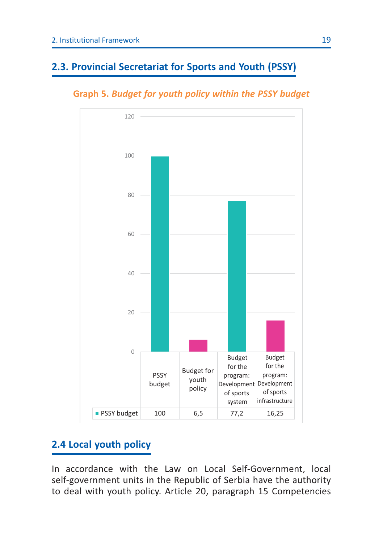### **2.3. Provincial Secretariat for Sports and Youth (PSSY)**





### **2.4 Local youth policy**

In accordance with the Law on Local Self-Government, local self-government units in the Republic of Serbia have the authority to deal with youth policy. Article 20, paragraph 15 Competencies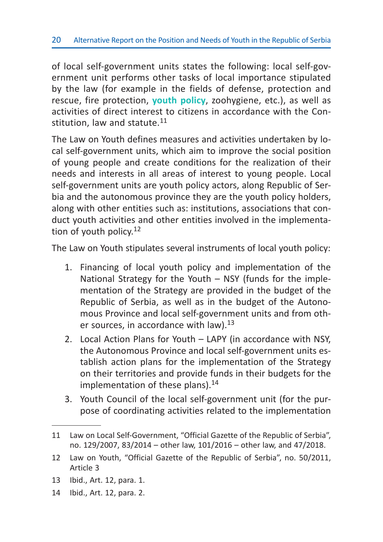of local self-government units states the following: local self-government unit performs other tasks of local importance stipulated by the law (for example in the fields of defense, protection and rescue, fire protection, **youth policy**, zoohygiene, etc.), as well as activities of direct interest to citizens in accordance with the Constitution, law and statute.<sup>11</sup>

The Law on Youth defines measures and activities undertaken by local self-government units, which aim to improve the social position of young people and create conditions for the realization of their needs and interests in all areas of interest to young people. Local self-government units are youth policy actors, along Republic of Serbia and the autonomous province they are the youth policy holders, along with other entities such as: institutions, associations that conduct youth activities and other entities involved in the implementation of youth policy.<sup>12</sup>

The Law on Youth stipulates several instruments of local youth policy:

- 1. Financing of local youth policy and implementation of the National Strategy for the Youth – NSY (funds for the implementation of the Strategy are provided in the budget of the Republic of Serbia, as well as in the budget of the Autonomous Province and local self-government units and from other sources, in accordance with law).<sup>13</sup>
- 2. Local Action Plans for Youth LAPY (in accordance with NSY, the Autonomous Province and local self-government units establish action plans for the implementation of the Strategy on their territories and provide funds in their budgets for the implementation of these plans). $^{14}$
- 3. Youth Council of the local self-government unit (for the purpose of coordinating activities related to the implementation

- 13 Ibid., Art. 12, para. 1.
- 14 Ibid., Art. 12, para. 2.

<sup>11</sup> Law on Local Self-Government, "Official Gazette of the Republic of Serbia", no. 129/2007, 83/2014 – other law, 101/2016 – other law, and 47/2018.

<sup>12</sup> Law on Youth, "Official Gazette of the Republic of Serbia", no. 50/2011, Article 3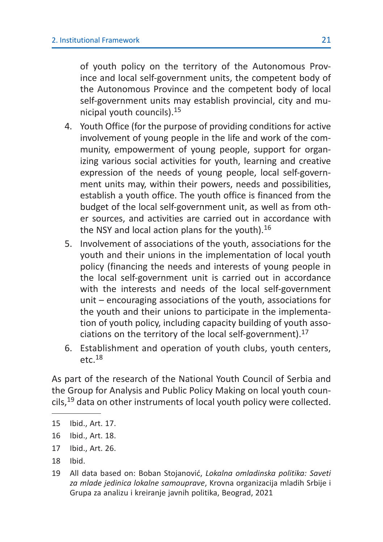of youth policy on the territory of the Autonomous Province and local self-government units, the competent body of the Autonomous Province and the competent body of local self-government units may establish provincial, city and municipal youth councils).<sup>15</sup>

- 4. Youth Office (for the purpose of providing conditions for active involvement of young people in the life and work of the community, empowerment of young people, support for organizing various social activities for youth, learning and creative expression of the needs of young people, local self-government units may, within their powers, needs and possibilities, establish a youth office. The youth office is financed from the budget of the local self-government unit, as well as from other sources, and activities are carried out in accordance with the NSY and local action plans for the youth). $16$
- 5. Involvement of associations of the youth, associations for the youth and their unions in the implementation of local youth policy (financing the needs and interests of young people in the local self-government unit is carried out in accordance with the interests and needs of the local self-government unit – encouraging associations of the youth, associations for the youth and their unions to participate in the implementation of youth policy, including capacity building of youth associations on the territory of the local self-government).<sup>17</sup>
- 6. Establishment and operation of youth clubs, youth centers,  $etc.<sup>18</sup>$

As part of the research of the National Youth Council of Serbia and the Group for Analysis and Public Policy Making on local youth councils,<sup>19</sup> data on other instruments of local youth policy were collected.

<sup>15</sup> Ibid., Art. 17.

<sup>16</sup> Ibid., Art. 18.

<sup>17</sup> Ibid., Art. 26.

<sup>18</sup> Ibid.

<sup>19</sup> All data based on: Boban Stojanović, *Lokalna omladinska politika: Saveti za mlade jedinica lokalne samouprave*, Krovna organizacija mladih Srbije i Grupa za analizu i kreiranje javnih politika, Beograd, 2021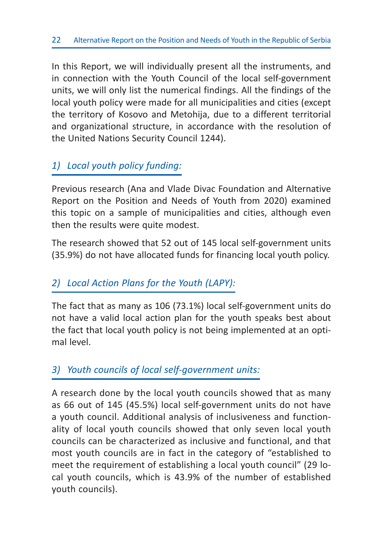In this Report, we will individually present all the instruments, and in connection with the Youth Council of the local self-government units, we will only list the numerical findings. All the findings of the local youth policy were made for all municipalities and cities (except the territory of Kosovo and Metohija, due to a different territorial and organizational structure, in accordance with the resolution of the United Nations Security Council 1244).

### *1) Local youth policy funding:*

Previous research (Ana and Vlade Divac Foundation and Alternative Report on the Position and Needs of Youth from 2020) examined this topic on a sample of municipalities and cities, although even then the results were quite modest.

The research showed that 52 out of 145 local self-government units (35.9%) do not have allocated funds for financing local youth policy.

### *2) Local Action Plans for the Youth (LAPY):*

The fact that as many as 106 (73.1%) local self-government units do not have a valid local action plan for the youth speaks best about the fact that local youth policy is not being implemented at an optimal level.

### *3) Youth councils of local self-government units:*

A research done by the local youth councils showed that as many as 66 out of 145 (45.5%) local self-government units do not have a youth council. Additional analysis of inclusiveness and functionality of local youth councils showed that only seven local youth councils can be characterized as inclusive and functional, and that most youth councils are in fact in the category of "established to meet the requirement of establishing a local youth council" (29 local youth councils, which is 43.9% of the number of established youth councils).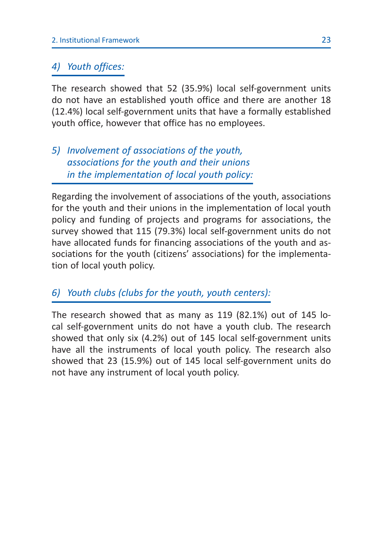### *4) Youth offices:*

The research showed that 52 (35.9%) local self-government units do not have an established youth office and there are another 18 (12.4%) local self-government units that have a formally established youth office, however that office has no employees.

### *5) Involvement of associations of the youth, associations for the youth and their unions in the implementation of local youth policy:*

Regarding the involvement of associations of the youth, associations for the youth and their unions in the implementation of local youth policy and funding of projects and programs for associations, the survey showed that 115 (79.3%) local self-government units do not have allocated funds for financing associations of the youth and associations for the youth (citizens' associations) for the implementation of local youth policy.

### *6) Youth clubs (clubs for the youth, youth centers):*

The research showed that as many as 119 (82.1%) out of 145 local self-government units do not have a youth club. The research showed that only six (4.2%) out of 145 local self-government units have all the instruments of local youth policy. The research also showed that 23 (15.9%) out of 145 local self-government units do not have any instrument of local youth policy.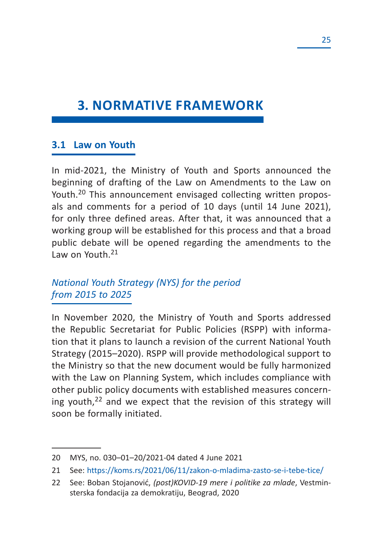## **3. NORMATIVE FRAMEWORK**

#### **3.1 Law on Youth**

In mid-2021, the Ministry of Youth and Sports announced the beginning of drafting of the Law on Amendments to the Law on Youth.<sup>20</sup> This announcement envisaged collecting written proposals and comments for a period of 10 days (until 14 June 2021), for only three defined areas. After that, it was announced that a working group will be established for this process and that a broad public debate will be opened regarding the amendments to the Law on Youth.<sup>21</sup>

### *National Youth Strategy (NYS) for the period from 2015 to 2025*

In November 2020, the Ministry of Youth and Sports addressed the Republic Secretariat for Public Policies (RSPP) with information that it plans to launch a revision of the current National Youth Strategy (2015–2020). RSPP will provide methodological support to the Ministry so that the new document would be fully harmonized with the Law on Planning System, which includes compliance with other public policy documents with established measures concerning youth, $22$  and we expect that the revision of this strategy will soon be formally initiated.

<sup>20</sup> MYS, no. 030–01–20/2021-04 dated 4 June 2021

<sup>21</sup> See: https://koms.rs/2021/06/11/zakon-o-mladima-zasto-se-i-tebe-tice/

<sup>22</sup> See: Boban Stojanović, *(post)KOVID-19 mere i politike za mlade*, Vestminsterska fondacija za demokratiju, Beograd, 2020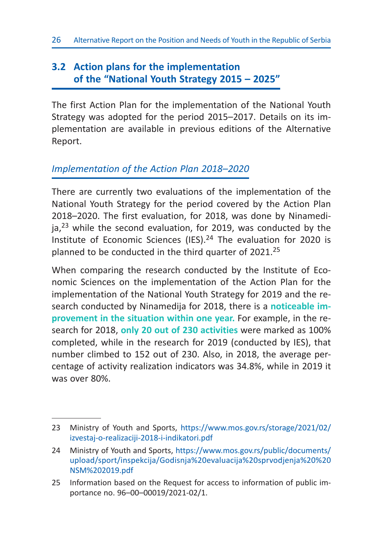### **3.2 Action plans for the implementation of the "National Youth Strategy 2015 – 2025"**

The first Action Plan for the implementation of the National Youth Strategy was adopted for the period 2015–2017. Details on its implementation are available in previous editions of the Alternative Report.

### *Implementation of the Action Plan 2018–2020*

There are currently two evaluations of the implementation of the National Youth Strategy for the period covered by the Action Plan 2018–2020. The first evaluation, for 2018, was done by Ninamedi $ja<sup>23</sup>$  while the second evaluation, for 2019, was conducted by the Institute of Economic Sciences (IES).24 The evaluation for 2020 is planned to be conducted in the third quarter of 2021.<sup>25</sup>

When comparing the research conducted by the Institute of Economic Sciences on the implementation of the Action Plan for the implementation of the National Youth Strategy for 2019 and the research conducted by Ninamedija for 2018, there is a **noticeable improvement in the situation within one year.** For example, in the research for 2018, **only 20 out of 230 activities** were marked as 100% completed, while in the research for 2019 (conducted by IES), that number climbed to 152 out of 230. Also, in 2018, the average percentage of activity realization indicators was 34.8%, while in 2019 it was over 80%.

<sup>23</sup> Ministry of Youth and Sports, https://www.mos.gov.rs/storage/2021/02/ izvestaj-o-realizaciji-2018-i-indikatori.pdf

<sup>24</sup> Ministry of Youth and Sports, https://www.mos.gov.rs/public/documents/ upload/sport/inspekcija/Godisnja%20evaluacija%20sprvodjenja%20%20 NSM%202019.pdf

<sup>25</sup> Information based on the Request for access to information of public importance no. 96–00–00019/2021-02/1.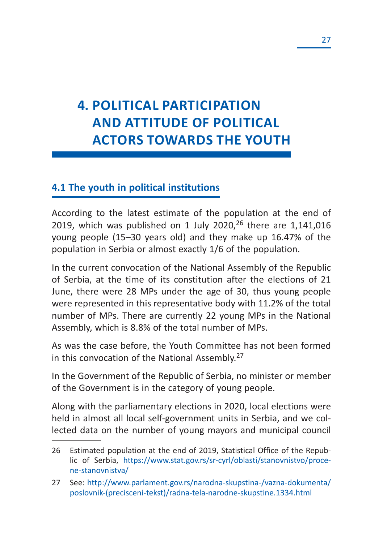## **4. POLITICAL PARTICIPATION AND ATTITUDE OF POLITICAL ACTORS TOWARDS THE YOUTH**

### **4.1 The youth in political institutions**

According to the latest estimate of the population at the end of 2019, which was published on 1 July 2020, $26$  there are 1,141,016 young people (15–30 years old) and they make up 16.47% of the population in Serbia or almost exactly 1/6 of the population.

In the current convocation of the National Assembly of the Republic of Serbia, at the time of its constitution after the elections of 21 June, there were 28 MPs under the age of 30, thus young people were represented in this representative body with 11.2% of the total number of MPs. There are currently 22 young MPs in the National Assembly, which is 8.8% of the total number of MPs.

As was the case before, the Youth Committee has not been formed in this convocation of the National Assembly.<sup>27</sup>

In the Government of the Republic of Serbia, no minister or member of the Government is in the category of young people.

Along with the parliamentary elections in 2020, local elections were held in almost all local self-government units in Serbia, and we collected data on the number of young mayors and municipal council

<sup>26</sup> Estimated population at the end of 2019, Statistical Office of the Republic of Serbia, https://www.stat.gov.rs/sr-cyrl/oblasti/stanovnistvo/procene-stanovnistva/

<sup>27</sup> See: http://www.parlament.gov.rs/narodna-skupstina-/vazna-dokumenta/ poslovnik-(precisceni-tekst)/radna-tela-narodne-skupstine.1334.html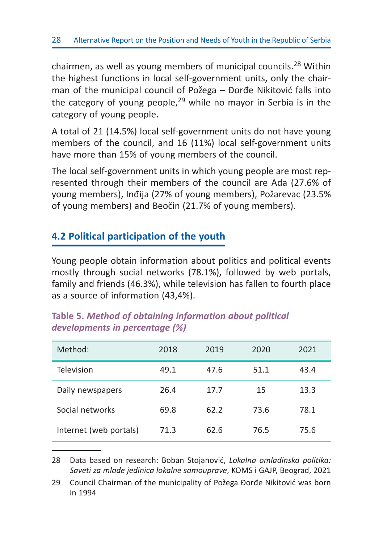chairmen, as well as young members of municipal councils.28 Within the highest functions in local self-government units, only the chairman of the municipal council of Požega – Đorđe Nikitović falls into the category of young people, $29$  while no mayor in Serbia is in the category of young people.

A total of 21 (14.5%) local self-government units do not have young members of the council, and 16 (11%) local self-government units have more than 15% of young members of the council.

The local self-government units in which young people are most represented through their members of the council are Ada (27.6% of young members), Inđija (27% of young members), Požarevac (23.5% of young members) and Beočin (21.7% of young members).

### **4.2 Political participation of the youth**

Young people obtain information about politics and political events mostly through social networks (78.1%), followed by web portals, family and friends (46.3%), while television has fallen to fourth place as a source of information (43,4%).

| Method:                | 2018 | 2019 | 2020 | 2021 |
|------------------------|------|------|------|------|
| Television             | 49.1 | 47.6 | 51.1 | 43.4 |
| Daily newspapers       | 26.4 | 17.7 | 15   | 13.3 |
| Social networks        | 69.8 | 62.2 | 73.6 | 78.1 |
| Internet (web portals) | 71.3 | 62.6 | 76.5 | 75.6 |

#### **Table 5.** *Method of obtaining information about political developments in percentage (%)*

28 Data based on research: Boban Stojanović, *Lokalna omladinska politika: Saveti za mlade jedinica lokalne samouprave*, KOMS i GAJP, Beograd, 2021

29 Council Chairman of the municipality of Požega Đorđe Nikitović was born in 1994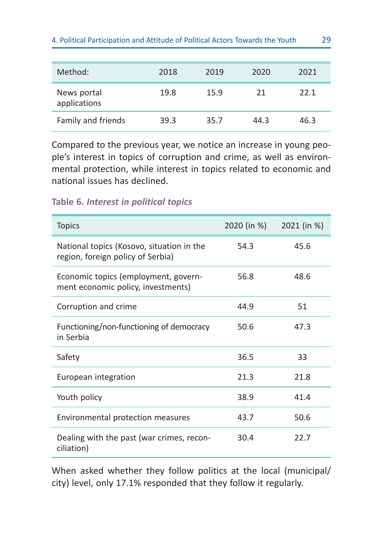| Method:                     | 2018 | 2019 | 2020 | 2021 |
|-----------------------------|------|------|------|------|
| News portal<br>applications | 19.8 | 15.9 | 21   | 22 1 |
| Family and friends          | 39.3 | 35.7 | 44.3 | 46.3 |

Compared to the previous year, we notice an increase in young people's interest in topics of corruption and crime, as well as environmental protection, while interest in topics related to economic and national issues has declined.

#### **Table 6.** *Interest in political topics*

| <b>Topics</b>                                                                  | 2020 (in %) | 2021 (in %) |
|--------------------------------------------------------------------------------|-------------|-------------|
| National topics (Kosovo, situation in the<br>region, foreign policy of Serbia) | 54.3        | 45.6        |
| Economic topics (employment, govern-<br>ment economic policy, investments)     | 56.8        | 48.6        |
| Corruption and crime                                                           | 44.9        | 51          |
| Functioning/non-functioning of democracy<br>in Serbia                          | 50.6        | 47.3        |
| Safety                                                                         | 36.5        | 33          |
| European integration                                                           | 21.3        | 21.8        |
| Youth policy                                                                   | 38.9        | 41.4        |
| Environmental protection measures                                              | 43.7        | 50.6        |
| Dealing with the past (war crimes, recon-<br>ciliation)                        | 30.4        | 22.7        |

When asked whether they follow politics at the local (municipal/ city) level, only 17.1% responded that they follow it regularly.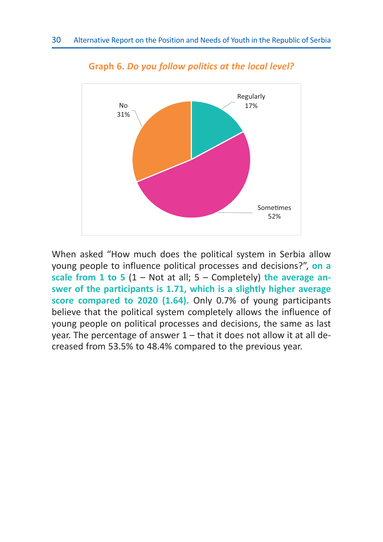

**Graph 6.** *Do you follow politics at the local level?*

When asked "How much does the political system in Serbia allow young people to influence political processes and decisions?", **on a scale from 1 to 5** (1 – Not at all; 5 – Completely) **the average answer of the participants is 1.71, which is a slightly higher average score compared to 2020 (1.64).** Only 0.7% of young participants believe that the political system completely allows the influence of young people on political processes and decisions, the same as last year. The percentage of answer 1 – that it does not allow it at all decreased from 53.5% to 48.4% compared to the previous year.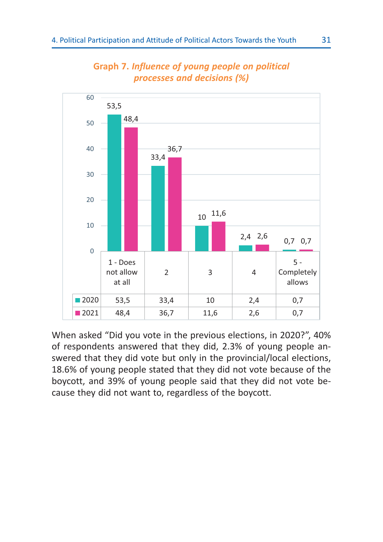

#### **Graph 7.** *Influence of young people on political processes and decisions (%)*

When asked "Did you vote in the previous elections, in 2020?", 40% of respondents answered that they did, 2.3% of young people answered that they did vote but only in the provincial/local elections, 18.6% of young people stated that they did not vote because of the boycott, and 39% of young people said that they did not vote because they did not want to, regardless of the boycott.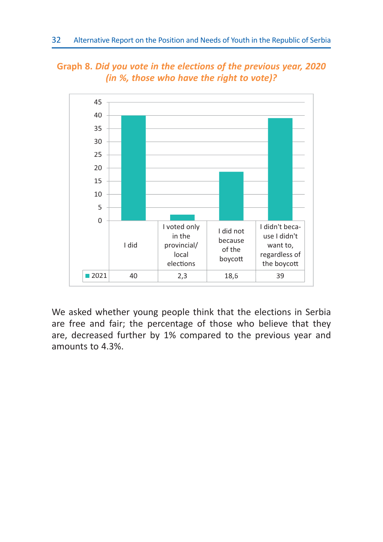



We asked whether young people think that the elections in Serbia are free and fair; the percentage of those who believe that they are, decreased further by 1% compared to the previous year and amounts to 4.3%.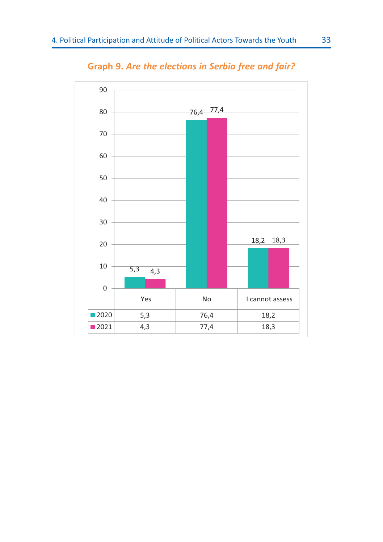

**Graph 9.** *Are the elections in Serbia free and fair?*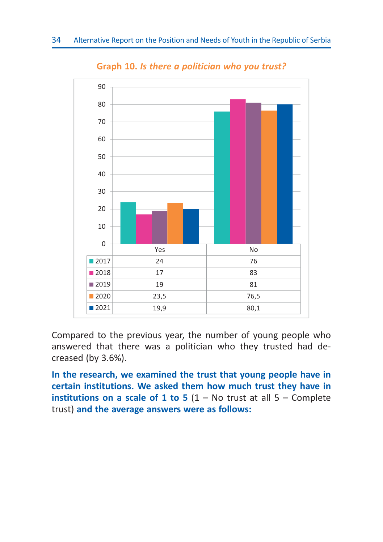

**Graph 10.** *Is there a politician who you trust?*

Compared to the previous year, the number of young people who answered that there was a politician who they trusted had decreased (by 3.6%).

**In the research, we examined the trust that young people have in certain institutions. We asked them how much trust they have in institutions on a scale of 1 to 5** (1 – No trust at all 5 – Complete trust) **and the average answers were as follows:**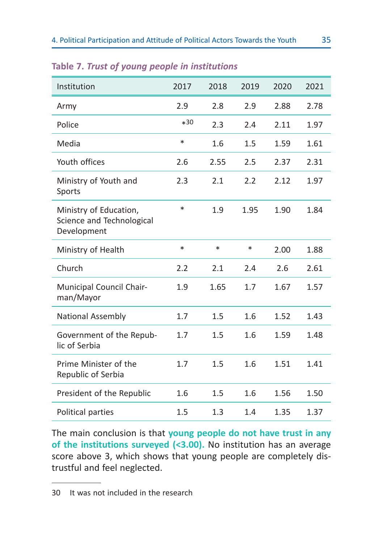| Institution                                                        | 2017   | 2018   | 2019   | 2020 | 2021 |
|--------------------------------------------------------------------|--------|--------|--------|------|------|
| Army                                                               | 2.9    | 2.8    | 2.9    | 2.88 | 2.78 |
| Police                                                             | $*30$  | 2.3    | 2.4    | 2.11 | 1.97 |
| Media                                                              | $\ast$ | 1.6    | 1.5    | 1.59 | 1.61 |
| Youth offices                                                      | 2.6    | 2.55   | 2.5    | 2.37 | 2.31 |
| Ministry of Youth and<br>Sports                                    | 2.3    | 2.1    | 2.2    | 2.12 | 1.97 |
| Ministry of Education,<br>Science and Technological<br>Development | $\ast$ | 1.9    | 1.95   | 1.90 | 1.84 |
| Ministry of Health                                                 | $\ast$ | $\ast$ | $\ast$ | 2.00 | 1.88 |
| Church                                                             | 2.2    | 2.1    | 2.4    | 2.6  | 2.61 |
| Municipal Council Chair-<br>man/Mayor                              | 1.9    | 1.65   | 1.7    | 1.67 | 1.57 |
| National Assembly                                                  | 1.7    | 1.5    | 1.6    | 1.52 | 1.43 |
| Government of the Repub-<br>lic of Serbia                          | 1.7    | 1.5    | 1.6    | 1.59 | 1.48 |
| Prime Minister of the<br>Republic of Serbia                        | 1.7    | 1.5    | 1.6    | 1.51 | 1.41 |
| President of the Republic                                          | 1.6    | 1.5    | 1.6    | 1.56 | 1.50 |
| Political parties                                                  | 1.5    | 1.3    | 1.4    | 1.35 | 1.37 |

#### **Table 7.** *Trust of young people in institutions*

The main conclusion is that **young people do not have trust in any of the institutions surveyed (<3.00).** No institution has an average score above 3, which shows that young people are completely distrustful and feel neglected.

<sup>30</sup> It was not included in the research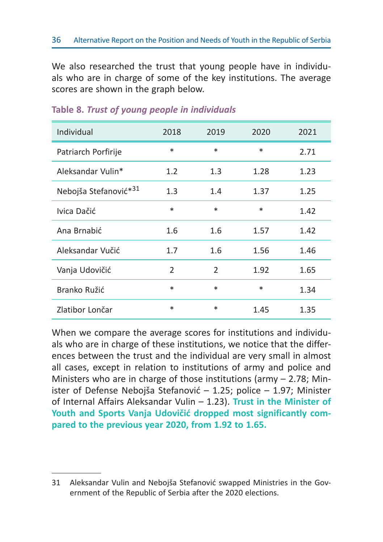We also researched the trust that young people have in individuals who are in charge of some of the key institutions. The average scores are shown in the graph below.

| Individual                        | 2018          | 2019   | 2020   | 2021 |
|-----------------------------------|---------------|--------|--------|------|
| Patriarch Porfirije               | $\ast$        | $\ast$ | $\ast$ | 2.71 |
| Aleksandar Vulin*                 | 1.2           | 1.3    | 1.28   | 1.23 |
| Nebojša Stefanović* <sup>31</sup> | $1.3\,$       | 1.4    | 1.37   | 1.25 |
| Ivica Dačić                       | $\ast$        | $\ast$ | $\ast$ | 1.42 |
| Ana Brnabić                       | 1.6           | 1.6    | 1.57   | 1.42 |
| Aleksandar Vučić                  | 1.7           | 1.6    | 1.56   | 1.46 |
| Vanja Udovičić                    | $\mathcal{P}$ | 2      | 1.92   | 1.65 |
| Branko Ružić                      | $\ast$        | $\ast$ | $\ast$ | 1.34 |
| Zlatibor Lončar                   | $\ast$        | $\ast$ | 1.45   | 1.35 |

#### **Table 8.** *Trust of young people in individuals*

When we compare the average scores for institutions and individuals who are in charge of these institutions, we notice that the differences between the trust and the individual are very small in almost all cases, except in relation to institutions of army and police and Ministers who are in charge of those institutions (army – 2.78; Minister of Defense Nebojša Stefanović – 1.25; police – 1.97; Minister of Internal Affairs Aleksandar Vulin – 1.23). **Trust in the Minister of Youth and Sports Vanja Udovičić dropped most significantly compared to the previous year 2020, from 1.92 to 1.65.**

<sup>31</sup> Aleksandar Vulin and Nebojša Stefanović swapped Ministries in the Government of the Republic of Serbia after the 2020 elections.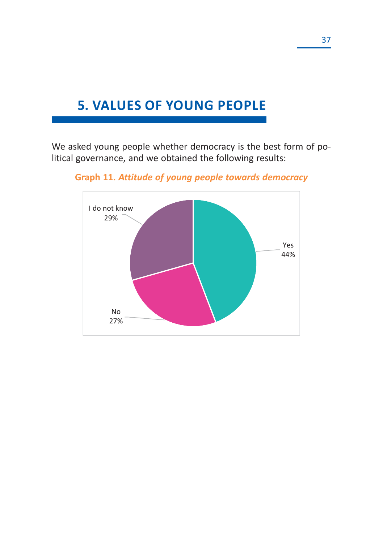## **5. VALUES OF YOUNG PEOPLE**

We asked young people whether democracy is the best form of political governance, and we obtained the following results:



**Graph 11.** *Attitude of young people towards democracy*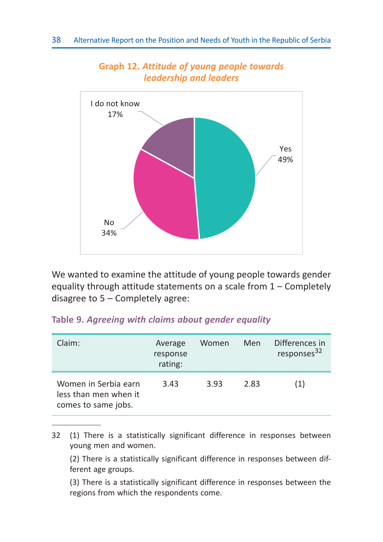

#### **Graph 12.** *Attitude of young people towards leadership and leaders*

We wanted to examine the attitude of young people towards gender equality through attitude statements on a scale from 1 – Completely disagree to 5 – Completely agree:

#### **Table 9.** *Agreeing with claims about gender equality*

| Claim:                                                               | Average<br>response<br>rating: | Women | Men  | Differences in<br>responses <sup>32</sup> |
|----------------------------------------------------------------------|--------------------------------|-------|------|-------------------------------------------|
| Women in Serbia earn<br>less than men when it<br>comes to same jobs. | 3.43                           | 3.93  | 2.83 | (1)                                       |

<sup>32 (1)</sup> There is a statistically significant difference in responses between young men and women.

 (2) There is a statistically significant difference in responses between different age groups.

 (3) There is a statistically significant difference in responses between the regions from which the respondents come.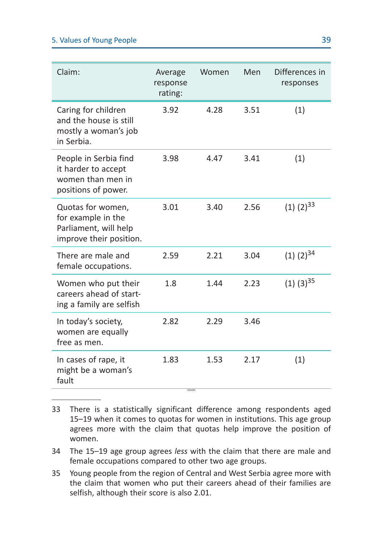#### 5. Values of Young People 39

| Claim:                                                                                      | Average<br>response<br>rating: | Women | Men  | Differences in<br>responses |
|---------------------------------------------------------------------------------------------|--------------------------------|-------|------|-----------------------------|
| Caring for children<br>and the house is still<br>mostly a woman's job<br>in Serbia.         | 3.92                           | 4.28  | 3.51 | (1)                         |
| People in Serbia find<br>it harder to accept<br>women than men in<br>positions of power.    | 3.98                           | 4.47  | 3.41 | (1)                         |
| Quotas for women,<br>for example in the<br>Parliament, will help<br>improve their position. | 3.01                           | 3.40  | 2.56 | $(1)$ $(2)$ <sup>33</sup>   |
| There are male and<br>female occupations.                                                   | 2.59                           | 2.21  | 3.04 | $(1)$ $(2)$ <sup>34</sup>   |
| Women who put their<br>careers ahead of start-<br>ing a family are selfish                  | 1.8                            | 1.44  | 2.23 | $(1)$ $(3)$ <sup>35</sup>   |
| In today's society,<br>women are equally<br>free as men.                                    | 2.82                           | 2.29  | 3.46 |                             |
| In cases of rape, it<br>might be a woman's<br>fault                                         | 1.83<br>333435                 | 1.53  | 2.17 | (1)                         |

<sup>33</sup> There is a statistically significant difference among respondents aged 15–19 when it comes to quotas for women in institutions. This age group agrees more with the claim that quotas help improve the position of women.

<sup>34</sup> The 15–19 age group agrees *less* with the claim that there are male and female occupations compared to other two age groups.

<sup>35</sup> Young people from the region of Central and West Serbia agree more with the claim that women who put their careers ahead of their families are selfish, although their score is also 2.01.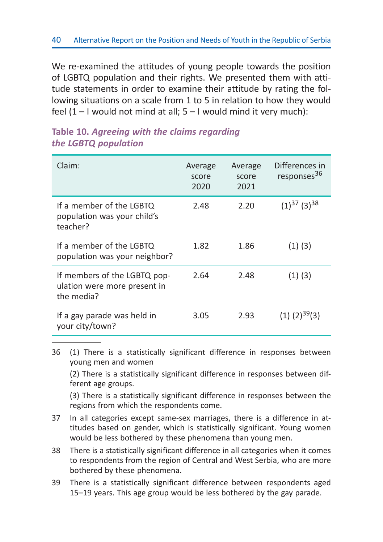We re-examined the attitudes of young people towards the position of LGBTQ population and their rights. We presented them with attitude statements in order to examine their attitude by rating the following situations on a scale from 1 to 5 in relation to how they would feel  $(1 - I$  would not mind at all;  $5 - I$  would mind it very much):

| Claim:                                                                     | Average<br>score<br>2020 | Average<br>score<br>2021 | Differences in<br>responses <sup>36</sup> |
|----------------------------------------------------------------------------|--------------------------|--------------------------|-------------------------------------------|
| If a member of the LGBTQ<br>population was your child's<br>teacher?        | 2.48                     | 2.20                     | $(1)^{37}$ (3) <sup>38</sup>              |
| If a member of the LGBTQ<br>population was your neighbor?                  | 1.82                     | 1.86                     | $(1)$ $(3)$                               |
| If members of the LGBTQ pop-<br>ulation were more present in<br>the media? | 2.64                     | 2.48                     | $(1)$ $(3)$                               |
| If a gay parade was held in<br>your city/town?                             | 3.05                     | 2.93                     | $(1)$ $(2)$ <sup>39</sup> $(3)$           |

#### **Table 10.** *Agreeing with the claims regarding the LGBTQ population*

36 (1) There is a statistically significant difference in responses between young men and women

 (2) There is a statistically significant difference in responses between different age groups.

 (3) There is a statistically significant difference in responses between the regions from which the respondents come.

- 37 In all categories except same-sex marriages, there is a difference in attitudes based on gender, which is statistically significant. Young women would be less bothered by these phenomena than young men.
- 38 There is a statistically significant difference in all categories when it comes to respondents from the region of Central and West Serbia, who are more bothered by these phenomena.
- 39 There is a statistically significant difference between respondents aged 15–19 years. This age group would be less bothered by the gay parade.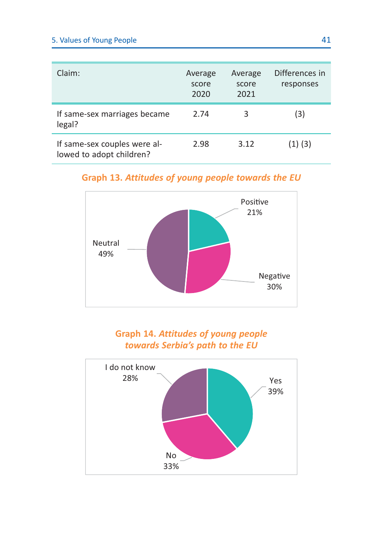#### 5. Values of Young People 41

| Claim:                                                   | Average<br>score<br>2020 | Average<br>score<br>2021 | Differences in<br>responses |
|----------------------------------------------------------|--------------------------|--------------------------|-----------------------------|
| If same-sex marriages became<br>legal?                   | 2.74                     | 3                        | (3)                         |
| If same-sex couples were al-<br>lowed to adopt children? | 2.98                     | 3.12                     | $(1)$ $(3)$                 |

**Graph 13.** *Attitudes of young people towards the EU*



**Graph 14.** *Attitudes of young people towards Serbia's path to the EU*

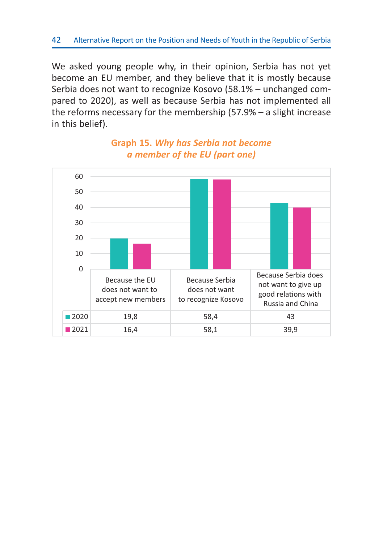We asked young people why, in their opinion, Serbia has not yet become an EU member, and they believe that it is mostly because Serbia does not want to recognize Kosovo (58.1% – unchanged compared to 2020), as well as because Serbia has not implemented all the reforms necessary for the membership (57.9% – a slight increase in this belief).



### **Graph 15.** *Why has Serbia not become a member of the EU (part one)*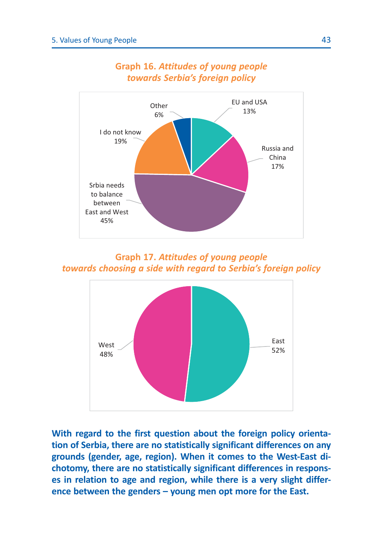

#### **Graph 16.** *Attitudes of young people towards Serbia's foreign policy*

**Graph 17.** *Attitudes of young people towards choosing a side with regard to Serbia's foreign policy*



**With regard to the first question about the foreign policy orientation of Serbia, there are no statistically significant differences on any grounds (gender, age, region). When it comes to the West-East dichotomy, there are no statistically significant differences in responses in relation to age and region, while there is a very slight difference between the genders – young men opt more for the East.**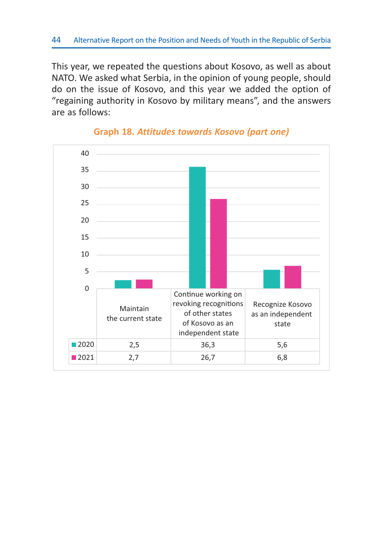This year, we repeated the questions about Kosovo, as well as about NATO. We asked what Serbia, in the opinion of young people, should do on the issue of Kosovo, and this year we added the option of "regaining authority in Kosovo by military means", and the answers are as follows:



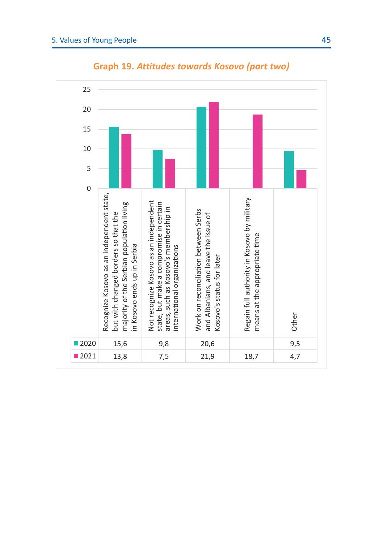

**Graph 19.** *Attitudes towards Kosovo (part two)*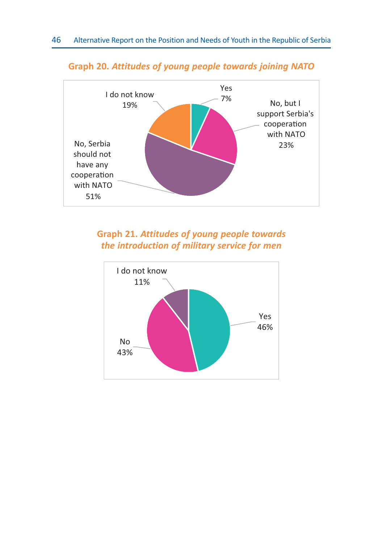

#### **Graph 20.** *Attitudes of young people towards joining NATO*



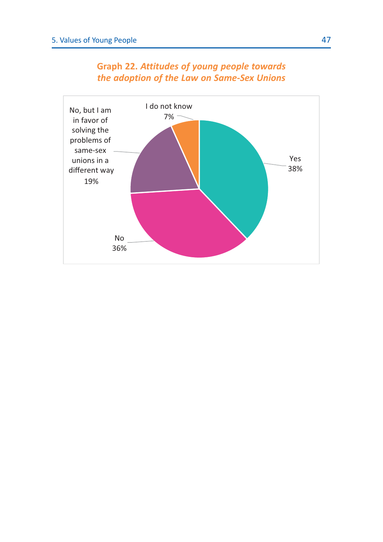

### **Graph 22.** *Attitudes of young people towards the adoption of the Law on Same-Sex Unions*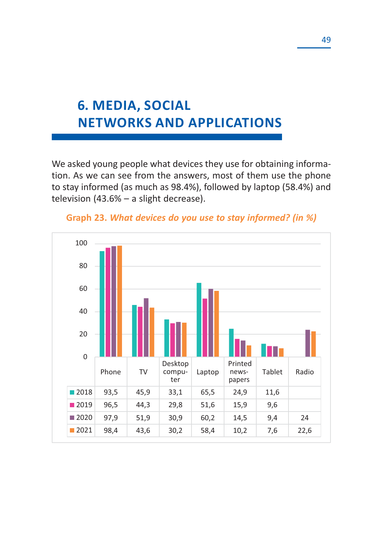# **6. MEDIA, SOCIAL NETWORKS AND APPLICATIONS**

We asked young people what devices they use for obtaining information. As we can see from the answers, most of them use the phone to stay informed (as much as 98.4%), followed by laptop (58.4%) and television (43.6% – a slight decrease).



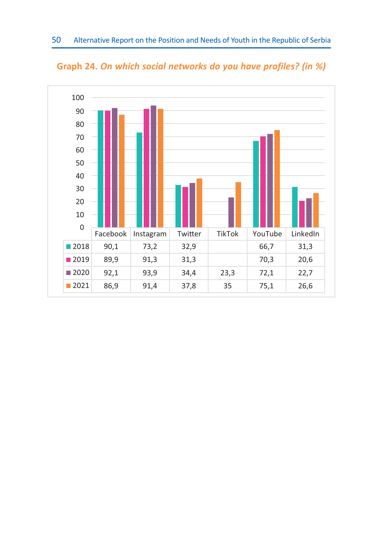

**Graph 24.** *On which social networks do you have profiles? (in %)*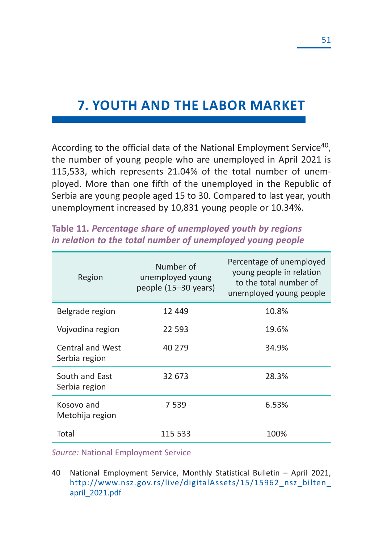## **7. YOUTH AND THE LABOR MARKET**

According to the official data of the National Employment Service<sup>40</sup>, the number of young people who are unemployed in April 2021 is 115,533, which represents 21.04% of the total number of unemployed. More than one fifth of the unemployed in the Republic of Serbia are young people aged 15 to 30. Compared to last year, youth unemployment increased by 10,831 young people or 10.34%.

| Region                            | Number of<br>unemployed young<br>people (15–30 years) | Percentage of unemployed<br>young people in relation<br>to the total number of<br>unemployed young people |
|-----------------------------------|-------------------------------------------------------|-----------------------------------------------------------------------------------------------------------|
| Belgrade region                   | 12 449                                                | 10.8%                                                                                                     |
| Vojvodina region                  | 22 593                                                | 19.6%                                                                                                     |
| Central and West<br>Serbia region | 40 279                                                | 34.9%                                                                                                     |
| South and East<br>Serbia region   | 32 673                                                | 28.3%                                                                                                     |
| Kosovo and<br>Metohija region     | 7 539                                                 | 6.53%                                                                                                     |
| Total                             | 115 533                                               | 100%                                                                                                      |

#### **Table 11.** *Percentage share of unemployed youth by regions in relation to the total number of unemployed young people*

*Source:* National Employment Service

<sup>40</sup> National Employment Service, Monthly Statistical Bulletin – April 2021, http://www.nsz.gov.rs/live/digitalAssets/15/15962\_nsz\_bilten\_ april\_2021.pdf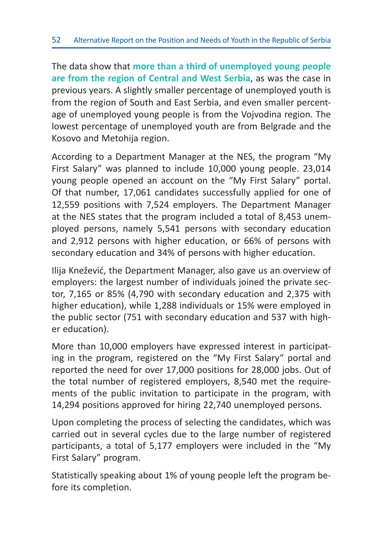The data show that **more than a third of unemployed young people are from the region of Central and West Serbia**, as was the case in previous years. A slightly smaller percentage of unemployed youth is from the region of South and East Serbia, and even smaller percentage of unemployed young people is from the Vojvodina region. The lowest percentage of unemployed youth are from Belgrade and the Kosovo and Metohija region.

According to a Department Manager at the NES, the program "My First Salary" was planned to include 10,000 young people. 23,014 young people opened an account on the "My First Salary" portal. Of that number, 17,061 candidates successfully applied for one of 12,559 positions with 7,524 employers. The Department Manager at the NES states that the program included a total of 8,453 unemployed persons, namely 5,541 persons with secondary education and 2,912 persons with higher education, or 66% of persons with secondary education and 34% of persons with higher education.

Ilija Knežević, the Department Manager, also gave us an overview of employers: the largest number of individuals joined the private sector, 7,165 or 85% (4,790 with secondary education and 2,375 with higher education), while 1,288 individuals or 15% were employed in the public sector (751 with secondary education and 537 with higher education).

More than 10,000 employers have expressed interest in participating in the program, registered on the "My First Salary" portal and reported the need for over 17,000 positions for 28,000 jobs. Out of the total number of registered employers, 8,540 met the requirements of the public invitation to participate in the program, with 14,294 positions approved for hiring 22,740 unemployed persons.

Upon completing the process of selecting the candidates, which was carried out in several cycles due to the large number of registered participants, a total of 5,177 employers were included in the "My First Salary" program.

Statistically speaking about 1% of young people left the program before its completion.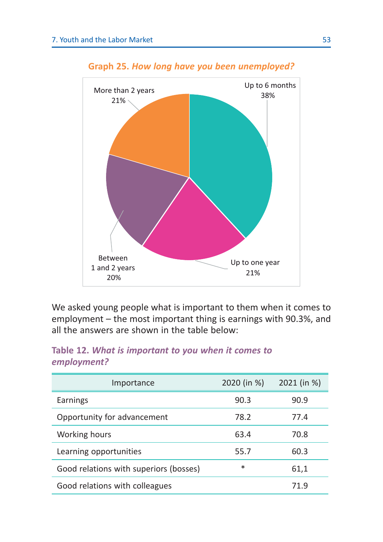

#### **Graph 25.** *How long have you been unemployed?*

We asked young people what is important to them when it comes to employment – the most important thing is earnings with 90.3%, and all the answers are shown in the table below:

#### **Table 12.** *What is important to you when it comes to employment?*

| Importance                             | 2020 (in %) | 2021 (in %) |
|----------------------------------------|-------------|-------------|
| Earnings                               | 90.3        | 90.9        |
| Opportunity for advancement            | 78.2        | 77.4        |
| Working hours                          | 63.4        | 70.8        |
| Learning opportunities                 | 55.7        | 60.3        |
| Good relations with superiors (bosses) | $\ast$      | 61,1        |
| Good relations with colleagues         |             | 71.9        |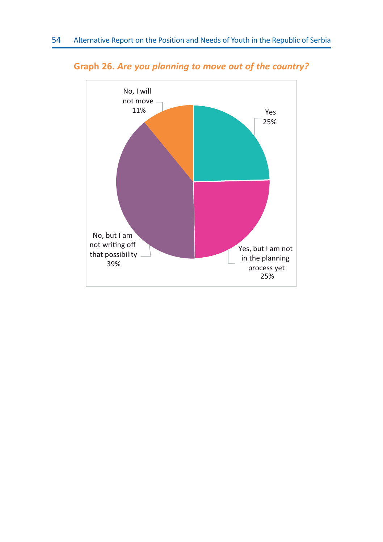

**Graph 26.** *Are you planning to move out of the country?*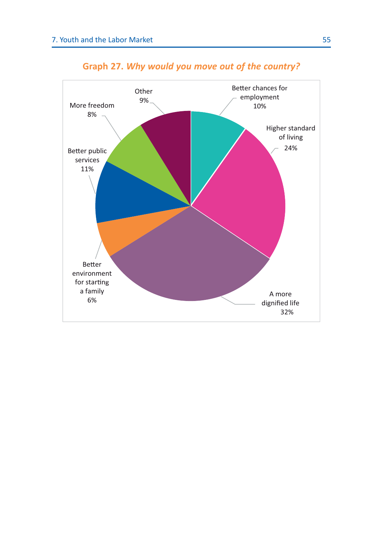

### **Graph 27.** *Why would you move out of the country?*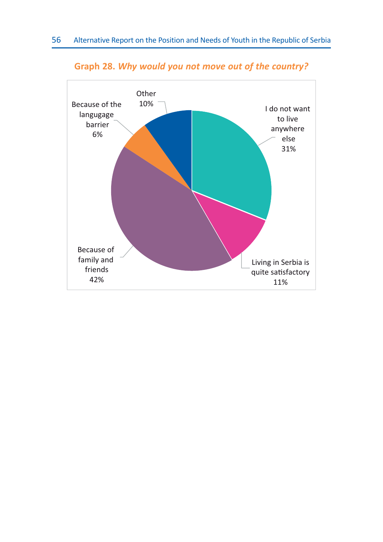

#### **Graph 28.** *Why would you not move out of the country?*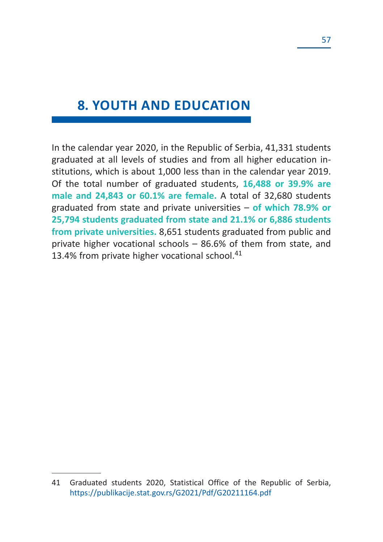## **8. YOUTH AND EDUCATION**

In the calendar year 2020, in the Republic of Serbia, 41,331 students graduated at all levels of studies and from all higher education institutions, which is about 1,000 less than in the calendar year 2019. Of the total number of graduated students, **16,488 or 39.9% are male and 24,843 or 60.1% are female.** A total of 32,680 students graduated from state and private universities – **of which 78.9% or 25,794 students graduated from state and 21.1% or 6,886 students from private universities.** 8,651 students graduated from public and private higher vocational schools – 86.6% of them from state, and 13.4% from private higher vocational school.<sup>41</sup>

<sup>41</sup> Graduated students 2020, Statistical Office of the Republic of Serbia, https://publikacije.stat.gov.rs/G2021/Pdf/G20211164.pdf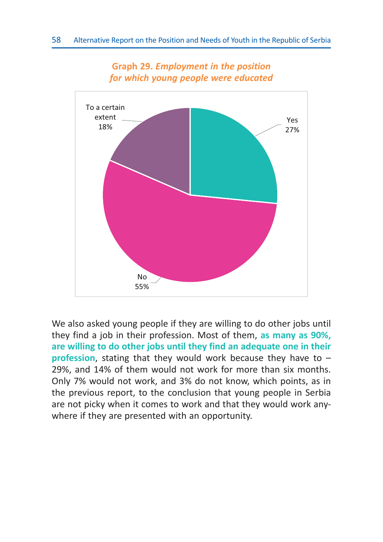

**Graph 29.** *Employment in the position for which young people were educated*

We also asked young people if they are willing to do other jobs until they find a job in their profession. Most of them, **as many as 90%, are willing to do other jobs until they find an adequate one in their profession**, stating that they would work because they have to – 29%, and 14% of them would not work for more than six months. Only 7% would not work, and 3% do not know, which points, as in the previous report, to the conclusion that young people in Serbia are not picky when it comes to work and that they would work anywhere if they are presented with an opportunity.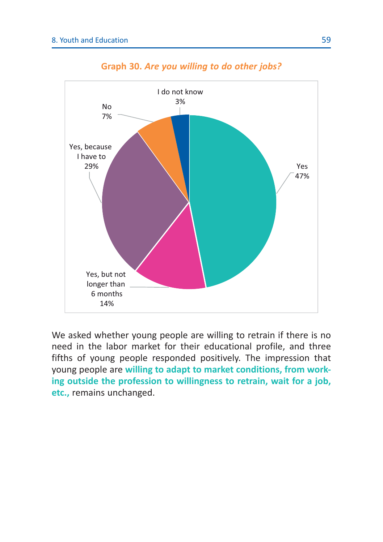

**Graph 30.** *Are you willing to do other jobs?*

We asked whether young people are willing to retrain if there is no need in the labor market for their educational profile, and three fifths of young people responded positively. The impression that young people are **willing to adapt to market conditions, from working outside the profession to willingness to retrain, wait for a job, etc.,** remains unchanged.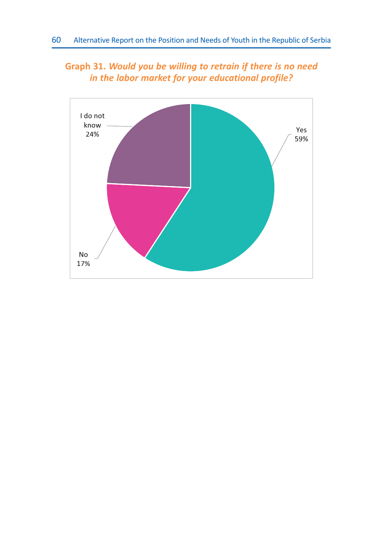### **Graph 31.** *Would you be willing to retrain if there is no need in the labor market for your educational profile?*

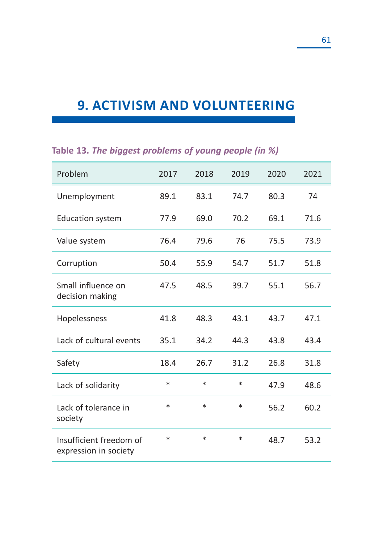## **9. ACTIVISM AND VOLUNTEERING**

| Problem                                          | 2017   | 2018   | 2019   | 2020 | 2021 |
|--------------------------------------------------|--------|--------|--------|------|------|
| Unemployment                                     | 89.1   | 83.1   | 74.7   | 80.3 | 74   |
| <b>Education system</b>                          | 77.9   | 69.0   | 70.2   | 69.1 | 71.6 |
| Value system                                     | 76.4   | 79.6   | 76     | 75.5 | 73.9 |
| Corruption                                       | 50.4   | 55.9   | 54.7   | 51.7 | 51.8 |
| Small influence on<br>decision making            | 47.5   | 48.5   | 39.7   | 55.1 | 56.7 |
| Hopelessness                                     | 41.8   | 48.3   | 43.1   | 43.7 | 47.1 |
| Lack of cultural events                          | 35.1   | 34.2   | 44.3   | 43.8 | 43.4 |
| Safety                                           | 18.4   | 26.7   | 31.2   | 26.8 | 31.8 |
| Lack of solidarity                               | $\ast$ | $\ast$ | $\ast$ | 47.9 | 48.6 |
| Lack of tolerance in<br>society                  | $\ast$ | $\ast$ | *      | 56.2 | 60.2 |
| Insufficient freedom of<br>expression in society | $\ast$ | $\ast$ | $\ast$ | 48.7 | 53.2 |

### **Table 13.** *The biggest problems of young people (in %)*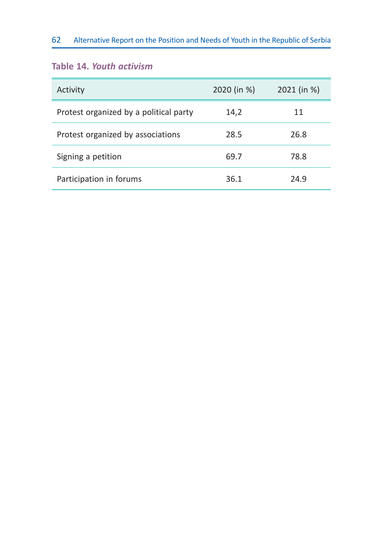#### 62 Alternative Report on the Position and Needs of Youth in the Republic of Serbia

#### **Table 14.** *Youth activism*

| Activity                               | 2020 (in %) | 2021 (in %) |
|----------------------------------------|-------------|-------------|
| Protest organized by a political party | 14,2        | 11          |
| Protest organized by associations      | 28.5        | 26.8        |
| Signing a petition                     | 69.7        | 78.8        |
| Participation in forums                | 36.1        | 24.9        |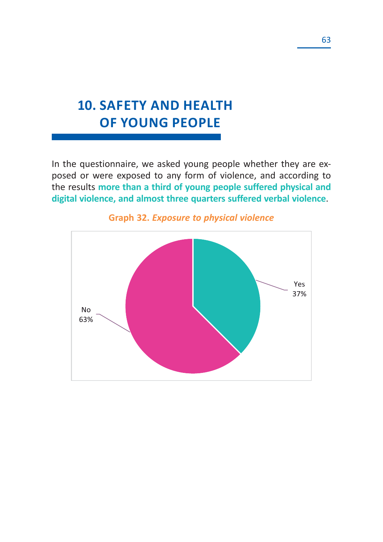# **10. SAFETY AND HEALTH OF YOUNG PEOPLE**

In the questionnaire, we asked young people whether they are exposed or were exposed to any form of violence, and according to the results **more than a third of young people suffered physical and digital violence, and almost three quarters suffered verbal violence**.



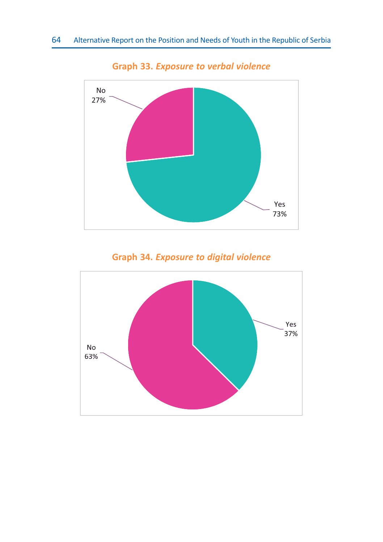

**Graph 33.** *Exposure to verbal violence*

**Graph 34.** *Exposure to digital violence*

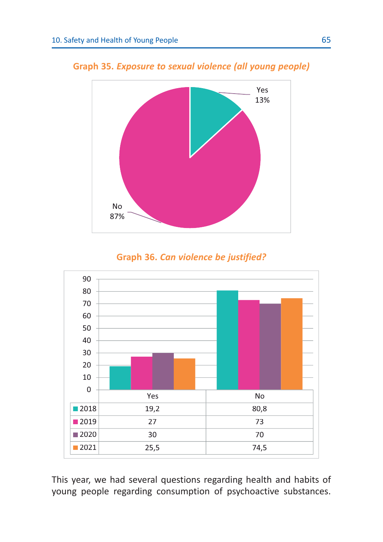

**Graph 35.** *Exposure to sexual violence (all young people)*





This year, we had several questions regarding health and habits of young people regarding consumption of psychoactive substances.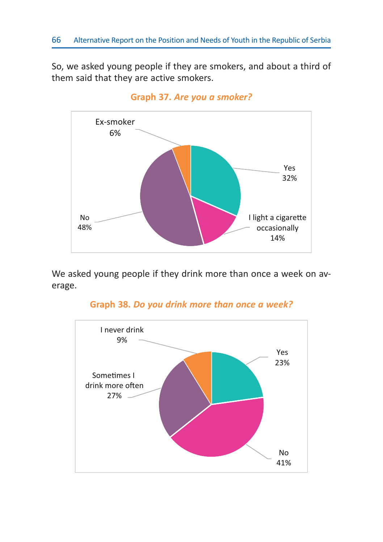So, we asked young people if they are smokers, and about a third of them said that they are active smokers.



**Graph 37.** *Are you a smoker?*

We asked young people if they drink more than once a week on average.



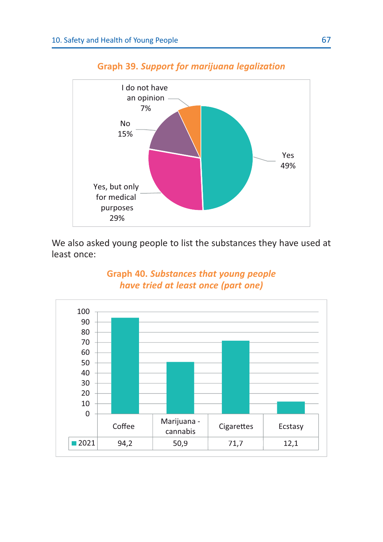

#### **Graph 39.** *Support for marijuana legalization*

We also asked young people to list the substances they have used at least once:

#### **Graph 40.** *Substances that young people have tried at least once (part one)*

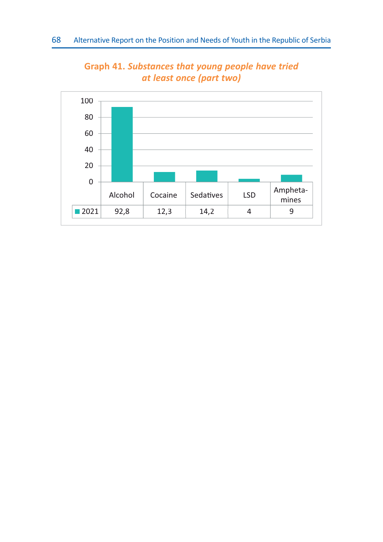

**Graph 41.** *Substances that young people have tried at least once (part two)*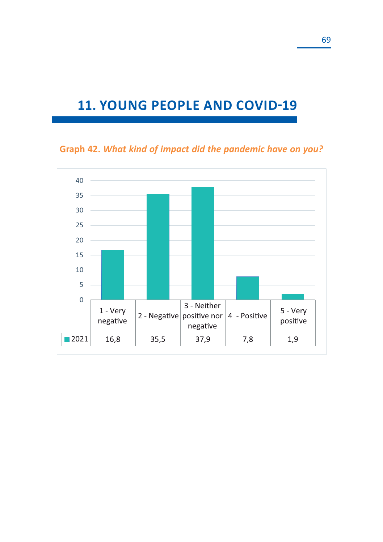## **11. YOUNG PEOPLE AND COVID-19**

**Graph 42.** *What kind of impact did the pandemic have on you?*

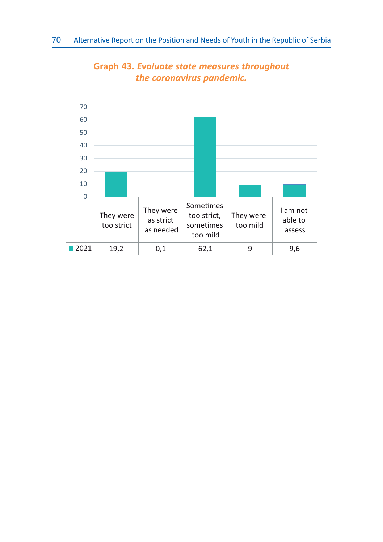

**Graph 43.** *Evaluate state measures throughout the coronavirus pandemic.*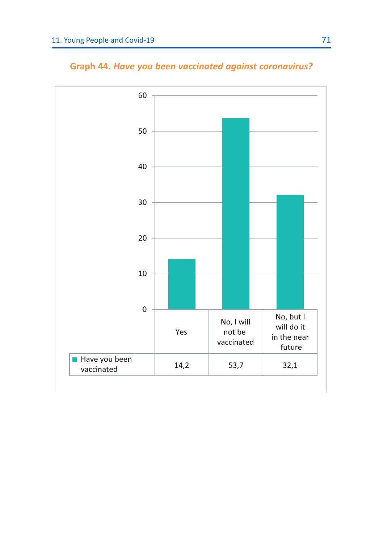

**Graph 44.** *Have you been vaccinated against coronavirus?*